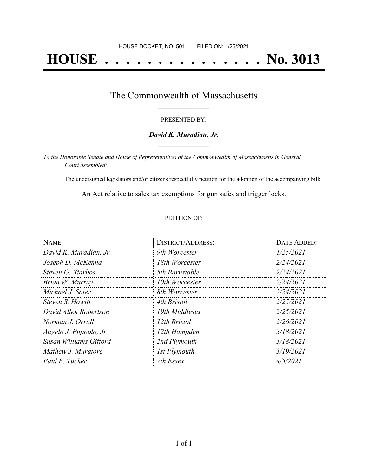# **HOUSE . . . . . . . . . . . . . . . No. 3013**

## The Commonwealth of Massachusetts **\_\_\_\_\_\_\_\_\_\_\_\_\_\_\_\_\_**

#### PRESENTED BY:

#### *David K. Muradian, Jr.* **\_\_\_\_\_\_\_\_\_\_\_\_\_\_\_\_\_**

*To the Honorable Senate and House of Representatives of the Commonwealth of Massachusetts in General Court assembled:*

The undersigned legislators and/or citizens respectfully petition for the adoption of the accompanying bill:

An Act relative to sales tax exemptions for gun safes and trigger locks. **\_\_\_\_\_\_\_\_\_\_\_\_\_\_\_**

#### PETITION OF:

| NAME:                  | <b>DISTRICT/ADDRESS:</b> | DATE ADDED: |
|------------------------|--------------------------|-------------|
| David K. Muradian, Jr. | 9th Worcester            | 1/25/2021   |
| Joseph D. McKenna      | 18th Worcester           | 2/24/2021   |
| Steven G. Xiarhos      | 5th Barnstable           | 2/24/2021   |
| Brian W. Murray        | 10th Worcester           | 2/24/2021   |
| Michael J. Soter       | 8th Worcester            | 2/24/2021   |
| Steven S. Howitt       | 4th Bristol              | 2/25/2021   |
| David Allen Robertson  | 19th Middlesex           | 2/25/2021   |
| Norman J. Orrall       | 12th Bristol             | 2/26/2021   |
| Angelo J. Puppolo, Jr. | 12th Hampden             | 3/18/2021   |
| Susan Williams Gifford | 2nd Plymouth             | 3/18/2021   |
| Mathew J. Muratore     | 1st Plymouth             | 3/19/2021   |
| Paul F. Tucker         | 7th Essex                | 4/5/2021    |